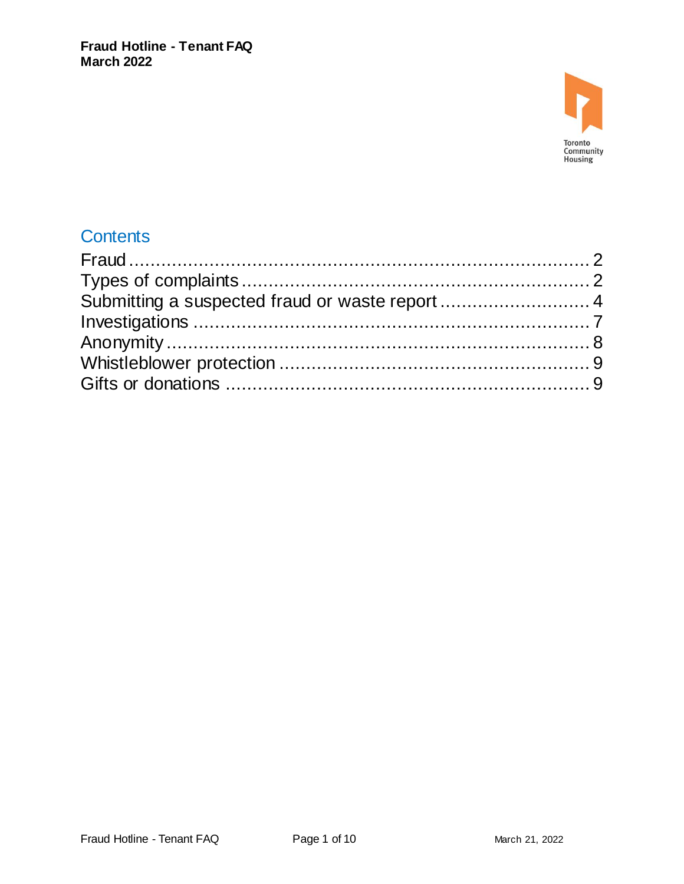

# **Contents**

| Submitting a suspected fraud or waste report  4 |  |
|-------------------------------------------------|--|
|                                                 |  |
|                                                 |  |
|                                                 |  |
|                                                 |  |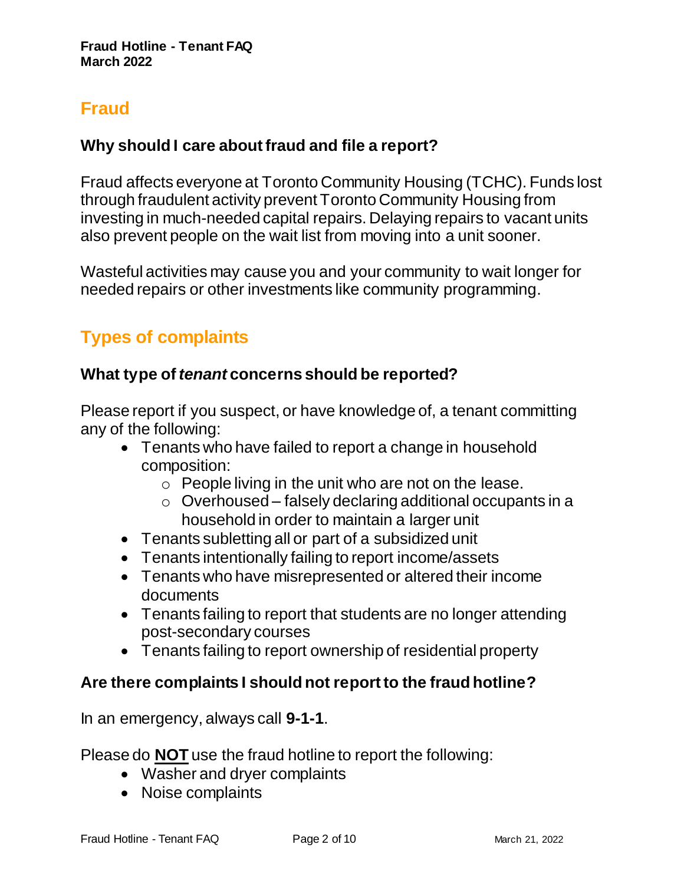# <span id="page-1-0"></span>**Fraud**

### **Why should I care about fraud and file a report?**

Fraud affects everyone at Toronto Community Housing (TCHC). Funds lost through fraudulent activity prevent Toronto Community Housing from investing in much-needed capital repairs. Delaying repairs to vacant units also prevent people on the wait list from moving into a unit sooner.

Wasteful activities may cause you and your community to wait longer for needed repairs or other investments like community programming.

# <span id="page-1-1"></span>**Types of complaints**

#### **What type of** *tenant* **concerns should be reported?**

Please report if you suspect, or have knowledge of, a tenant committing any of the following:

- Tenants who have failed to report a change in household composition:
	- $\circ$  People living in the unit who are not on the lease.
	- o Overhoused falsely declaring additional occupants in a household in order to maintain a larger unit
- Tenants subletting all or part of a subsidized unit
- Tenants intentionally failing to report income/assets
- Tenants who have misrepresented or altered their income documents
- Tenants failing to report that students are no longer attending post-secondary courses
- Tenants failing to report ownership of residential property

#### **Are there complaints I should not report to the fraud hotline?**

In an emergency, always call **9-1-1**.

Please do **NOT** use the fraud hotline to report the following:

- Washer and dryer complaints
- Noise complaints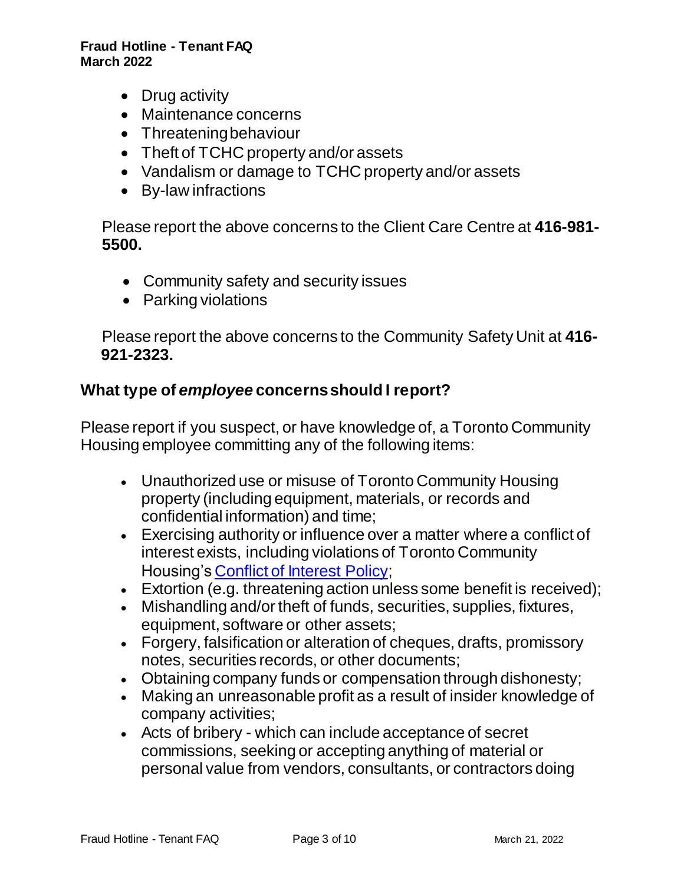#### **Fraud Hotline - Tenant FAQ March 2022**

- Drug activity
- Maintenance concerns
- Threatening behaviour
- Theft of TCHC property and/or assets
- Vandalism or damage to TCHC property and/or assets
- By-law infractions

Please report the above concerns to the Client Care Centre at **416-981- 5500.**

- Community safety and security issues
- Parking violations

Please report the above concerns to the Community Safety Unit at **416- 921-2323.**

#### **What type of** *employee* **concerns should I report?**

Please report if you suspect, or have knowledge of, a Toronto Community Housing employee committing any of the following items:

- Unauthorized use or misuse of Toronto Community Housing property (including equipment, materials, or records and confidential information) and time;
- Exercising authority or influence over a matter where a conflict of interest exists, including violations of Toronto Community Housing's Conflict of Interest Policy;
- Extortion (e.g. threatening action unless some benefit is received);
- Mishandling and/or theft of funds, securities, supplies, fixtures, equipment, software or other assets;
- Forgery, falsification or alteration of cheques, drafts, promissory notes, securities records, or other documents;
- Obtaining company funds or compensation through dishonesty;
- Making an unreasonable profit as a result of insider knowledge of company activities;
- Acts of bribery which can include acceptance of secret commissions, seeking or accepting anything of material or personal value from vendors, consultants, or contractors doing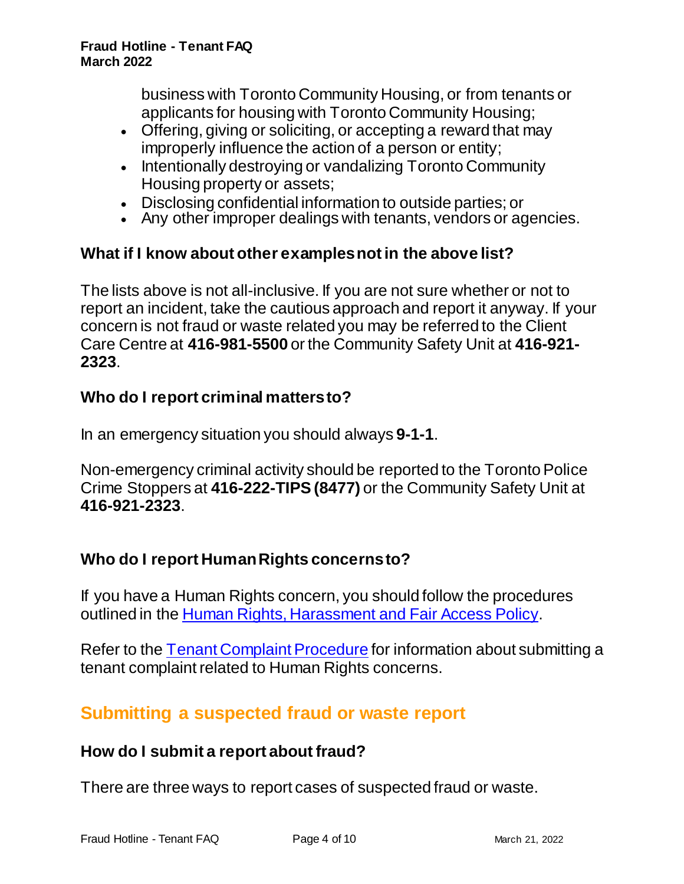business with Toronto Community Housing, or from tenants or applicants for housing with Toronto Community Housing;

- Offering, giving or soliciting, or accepting a reward that may improperly influence the action of a person or entity;
- Intentionally destroying or vandalizing Toronto Community Housing property or assets;
- Disclosing confidential information to outside parties; or
- Any other improper dealings with tenants, vendors or agencies.

#### **What if I know about other examples not in the above list?**

The lists above is not all-inclusive. If you are not sure whether or not to report an incident, take the cautious approach and report it anyway. If your concern is not fraud or waste related you may be referred to the Client Care Centre at **416-981-5500** or the Community Safety Unit at **416-921- 2323**.

#### **Who do I report criminal matters to?**

In an emergency situation you should always **9-1-1**.

Non-emergency criminal activity should be reported to the Toronto Police Crime Stoppers at **416-222-TIPS (8477)** or the Community Safety Unit at **416-921-2323**.

#### **Who do I report Human Rights concernsto?**

If you have a Human Rights concern, you should follow the procedures outlined in the [Human Rights, Harassment and Fair Access Policy.](https://www.torontohousing.ca/about/policies-programs/policies/human-rights/Pages/Human-Rights-Harassment-and-Fair-Access-Policy.aspx)

Refer to the [Tenant Complaint Procedure](https://www.torontohousing.ca/about/policies-programs/policies/human-rights/Pages/TCHC-Human-Rights-Harassment-and-Fair-Access-Policy-Tenant-Complaint-Procedure-related-to-Human-Rights.aspx) for information about submitting a tenant complaint related to Human Rights concerns.

# <span id="page-3-0"></span>**Submitting a suspected fraud or waste report**

#### **How do I submit a report about fraud?**

There are three ways to report cases of suspected fraud or waste.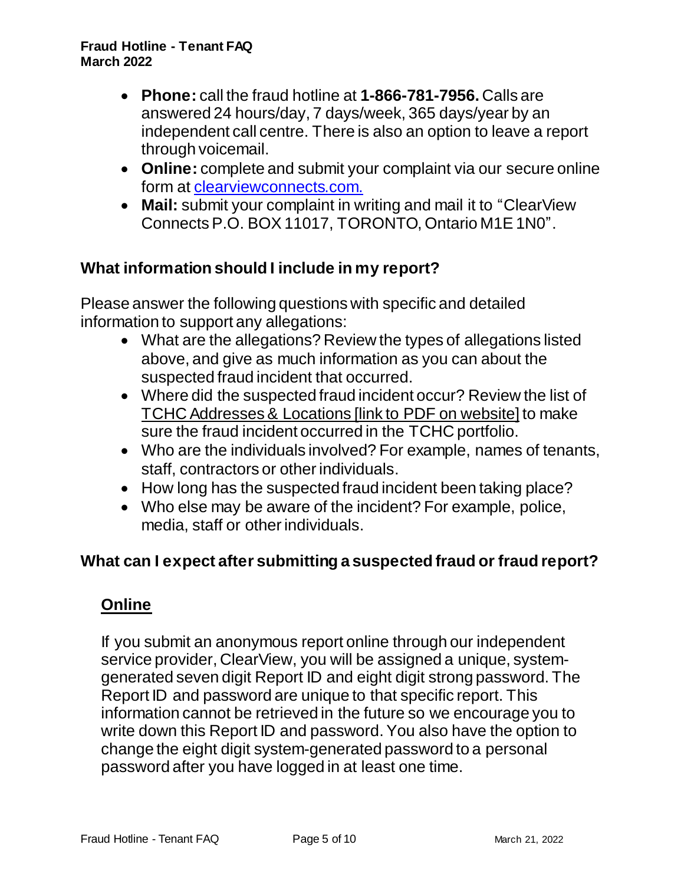#### **Fraud Hotline - Tenant FAQ March 2022**

- **Phone:** call the fraud hotline at **1-866-781-7956.** Calls are answered 24 hours/day, 7 days/week, 365 days/year by an independent call centre. There is also an option to leave a report through voicemail.
- **Online:** complete and submit your complaint via our secure online form at [clearviewconnects.com.](https://www.clearviewconnects.com/)
- **Mail:** submit your complaint in writing and mail it to "ClearView Connects P.O. BOX 11017, TORONTO, Ontario M1E 1N0".

### **What information should I include in my report?**

Please answer the following questions with specific and detailed information to support any allegations:

- What are the allegations? Review the types of allegations listed above, and give as much information as you can about the suspected fraud incident that occurred.
- Where did the suspected fraud incident occur? Review the list of TCHC Addresses & Locations [link to PDF on website] to make sure the fraud incident occurred in the TCHC portfolio.
- Who are the individuals involved? For example, names of tenants, staff, contractors or other individuals.
- How long has the suspected fraud incident been taking place?
- Who else may be aware of the incident? For example, police, media, staff or other individuals.

### **What can I expect after submitting a suspected fraud or fraud report?**

### **Online**

If you submit an anonymous report online through our independent service provider, ClearView, you will be assigned a unique, systemgenerated seven digit Report ID and eight digit strong password. The Report ID and password are unique to that specific report. This information cannot be retrieved in the future so we encourage you to write down this Report ID and password. You also have the option to change the eight digit system-generated password to a personal password after you have logged in at least one time.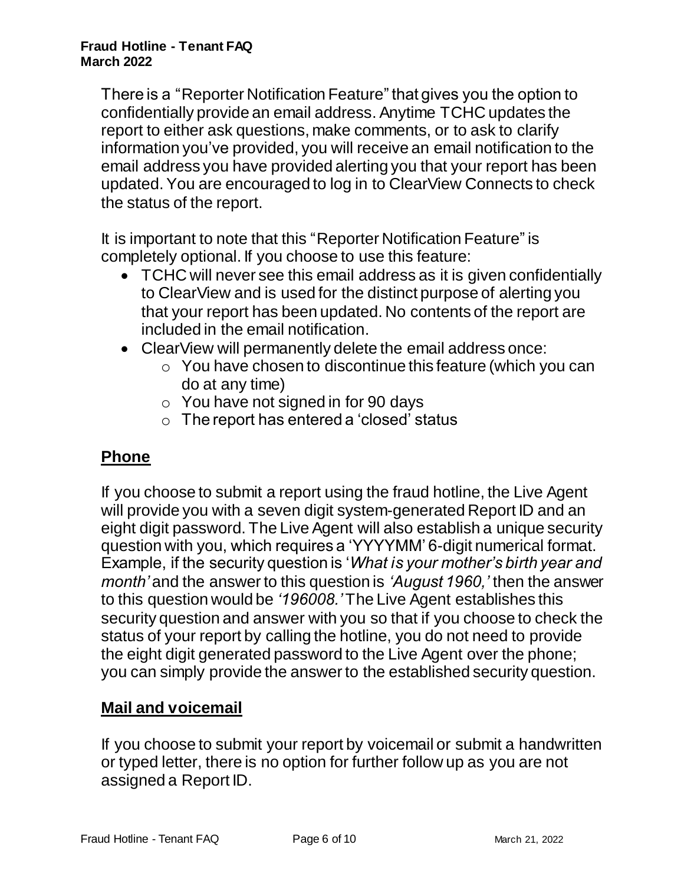#### **Fraud Hotline - Tenant FAQ March 2022**

There is a "Reporter Notification Feature" that gives you the option to confidentially provide an email address. Anytime TCHC updates the report to either ask questions, make comments, or to ask to clarify information you've provided, you will receive an email notification to the email address you have provided alerting you that your report has been updated. You are encouraged to log in to ClearView Connects to check the status of the report.

It is important to note that this "Reporter Notification Feature" is completely optional. If you choose to use this feature:

- TCHC will never see this email address as it is given confidentially to ClearView and is used for the distinct purpose of alerting you that your report has been updated. No contents of the report are included in the email notification.
- ClearView will permanently delete the email address once:
	- $\circ$  You have chosen to discontinue this feature (which you can do at any time)
	- $\circ$  You have not signed in for 90 days
	- o The report has entered a 'closed' status

### **Phone**

If you choose to submit a report using the fraud hotline, the Live Agent will provide you with a seven digit system-generated Report ID and an eight digit password. The Live Agent will also establish a unique security question with you, which requires a 'YYYYMM' 6-digit numerical format. Example, if the security question is '*What is your mother's birth year and month'* and the answer to this question is *'August 1960,'* then the answer to this question would be *'196008.'* The Live Agent establishes this security question and answer with you so that if you choose to check the status of your report by calling the hotline, you do not need to provide the eight digit generated password to the Live Agent over the phone; you can simply provide the answer to the established security question.

#### **Mail and voicemail**

If you choose to submit your report by voicemail or submit a handwritten or typed letter, there is no option for further follow up as you are not assigned a Report ID.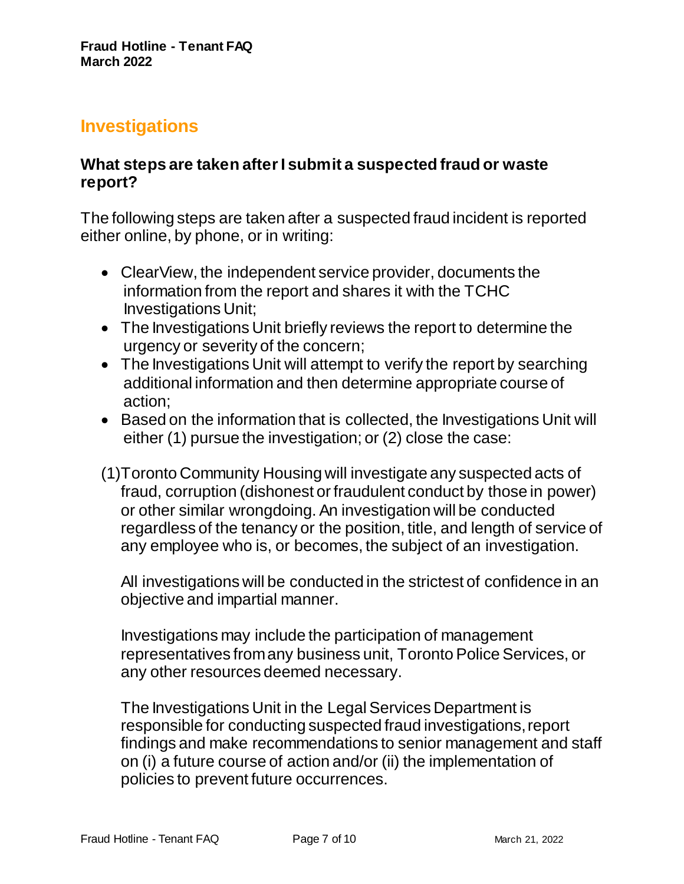## <span id="page-6-0"></span>**Investigations**

#### **What steps are taken after I submit a suspected fraud or waste report?**

The following steps are taken after a suspected fraud incident is reported either online, by phone, or in writing:

- ClearView, the independent service provider, documents the information from the report and shares it with the TCHC Investigations Unit;
- The Investigations Unit briefly reviews the report to determine the urgency or severity of the concern;
- The Investigations Unit will attempt to verify the report by searching additional information and then determine appropriate course of action;
- Based on the information that is collected, the Investigations Unit will either (1) pursue the investigation; or (2) close the case:
- (1)Toronto Community Housing will investigate any suspected acts of fraud, corruption (dishonest or fraudulent conduct by those in power) or other similar wrongdoing. An investigation will be conducted regardless of the tenancy or the position, title, and length of service of any employee who is, or becomes, the subject of an investigation.

All investigations will be conducted in the strictest of confidence in an objective and impartial manner.

Investigations may include the participation of management representatives from any business unit, Toronto Police Services, or any other resources deemed necessary.

The Investigations Unit in the Legal Services Department is responsible for conducting suspected fraud investigations, report findings and make recommendations to senior management and staff on (i) a future course of action and/or (ii) the implementation of policies to prevent future occurrences.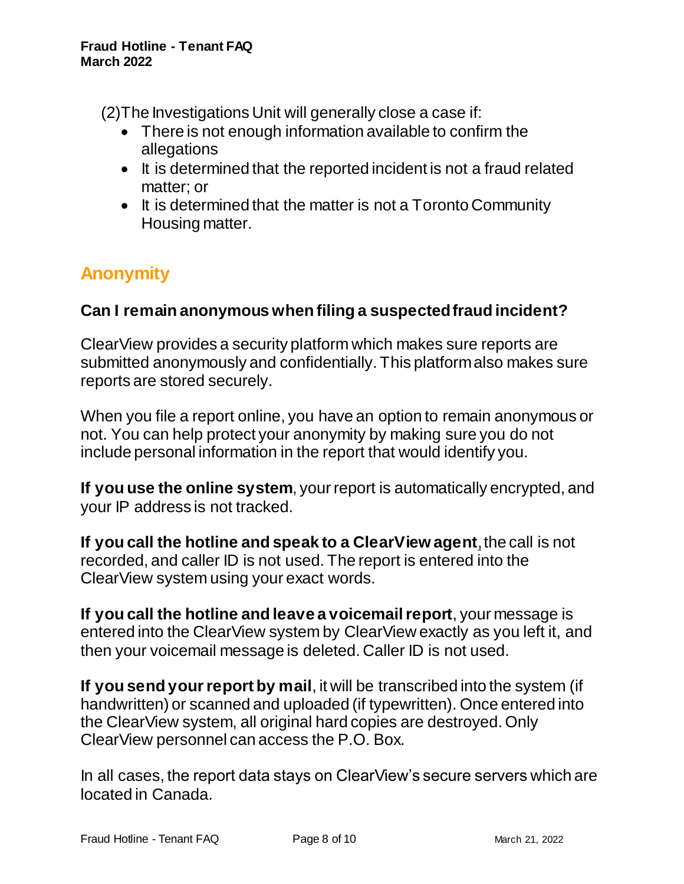(2)The Investigations Unit will generally close a case if:

- There is not enough information available to confirm the allegations
- It is determined that the reported incident is not a fraud related matter; or
- It is determined that the matter is not a Toronto Community Housing matter.

# <span id="page-7-0"></span>**Anonymity**

### **Can I remain anonymous when filing a suspected fraud incident?**

ClearView provides a security platform which makes sure reports are submitted anonymously and confidentially. This platform also makes sure reports are stored securely.

When you file a report online, you have an option to remain anonymous or not. You can help protect your anonymity by making sure you do not include personal information in the report that would identify you.

**If you use the online system**, your report is automatically encrypted, and your IP address is not tracked.

**If you call the hotline and speak to a ClearView agent, the call is not** recorded, and caller ID is not used. The report is entered into the ClearView system using your exact words.

**If you call the hotline and leave a voicemail report**, your message is entered into the ClearView system by ClearView exactly as you left it, and then your voicemail message is deleted. Caller ID is not used.

**If you send your report by mail**, it will be transcribed into the system (if handwritten) or scanned and uploaded (if typewritten). Once entered into the ClearView system, all original hard copies are destroyed. Only ClearView personnel can access the P.O. Box.

In all cases, the report data stays on ClearView's secure servers which are located in Canada.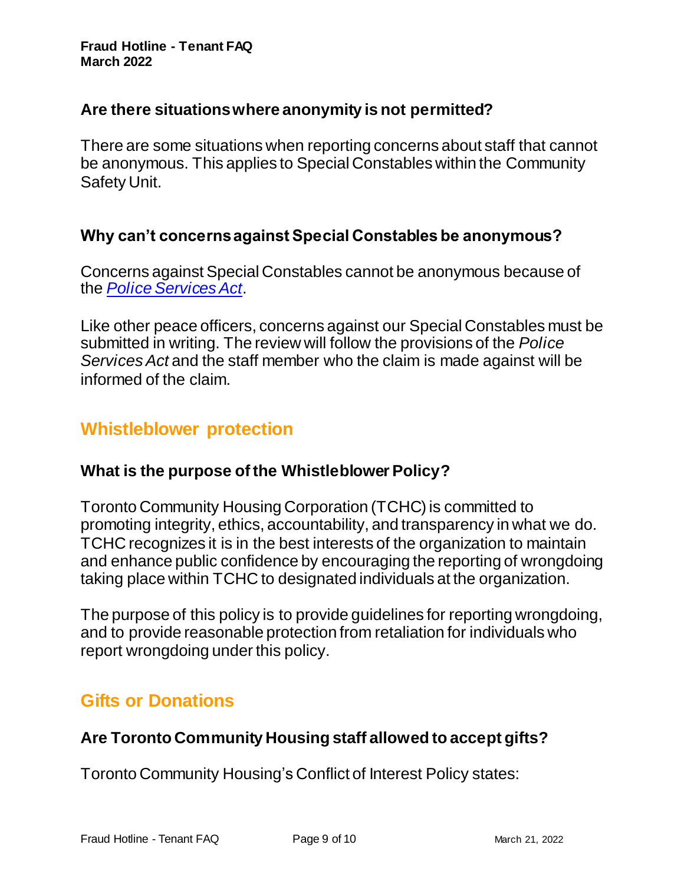#### **Are there situations where anonymity is not permitted?**

There are some situations when reporting concerns about staff that cannot be anonymous. This applies to Special Constables within the Community Safety Unit.

#### **Why can't concerns against Special Constables be anonymous?**

Concerns against Special Constables cannot be anonymous because of the *[Police Services Act](https://www.ontario.ca/laws/statute/90p15)*.

Like other peace officers, concerns against our Special Constables must be submitted in writing. The review will follow the provisions of the *Police Services Act* and the staff member who the claim is made against will be informed of the claim.

## <span id="page-8-0"></span>**Whistleblower protection**

#### **What is the purpose of the Whistleblower Policy?**

Toronto Community Housing Corporation (TCHC) is committed to promoting integrity, ethics, accountability, and transparency in what we do. TCHC recognizes it is in the best interests of the organization to maintain and enhance public confidence by encouraging the reporting of wrongdoing taking place within TCHC to designated individuals at the organization.

The purpose of this policy is to provide guidelines for reporting wrongdoing, and to provide reasonable protection from retaliation for individuals who report wrongdoing under this policy.

# <span id="page-8-1"></span>**Gifts or Donations**

### **Are Toronto Community Housing staff allowed to accept gifts?**

Toronto Community Housing's Conflict of Interest Policy states: